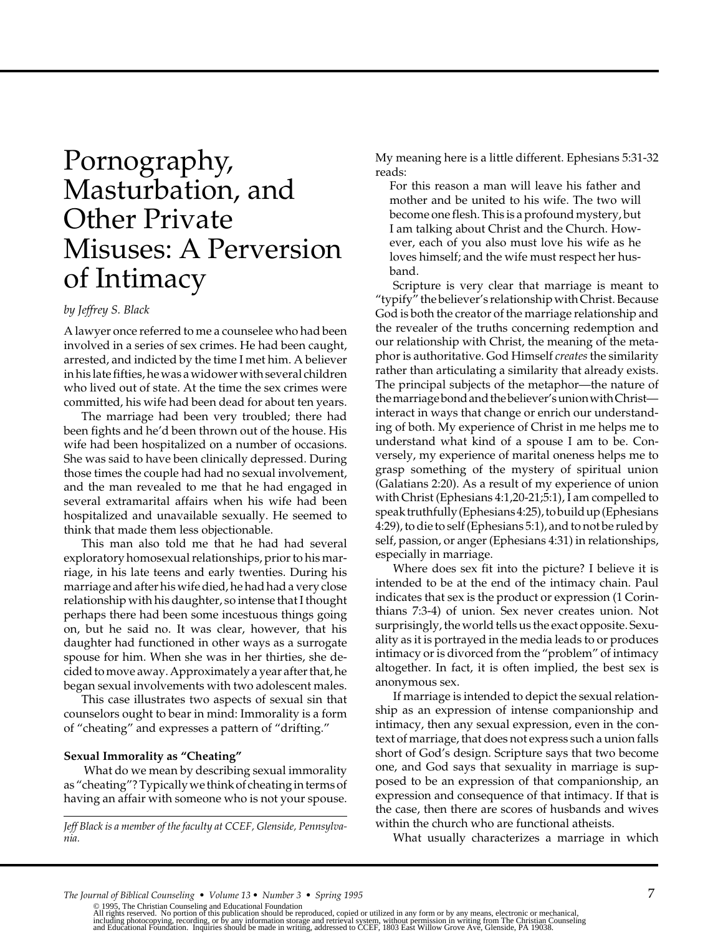# Pornography, Masturbation, and Other Private Misuses: A Perversion of Intimacy

# *by Jeffrey S. Black*

A lawyer once referred to me a counselee who had been involved in a series of sex crimes. He had been caught, arrested, and indicted by the time I met him. A believer in his late fifties, he was a widower with several children who lived out of state. At the time the sex crimes were committed, his wife had been dead for about ten years.

The marriage had been very troubled; there had been fights and he'd been thrown out of the house. His wife had been hospitalized on a number of occasions. She was said to have been clinically depressed. During those times the couple had had no sexual involvement, and the man revealed to me that he had engaged in several extramarital affairs when his wife had been hospitalized and unavailable sexually. He seemed to think that made them less objectionable.

This man also told me that he had had several exploratory homosexual relationships, prior to his marriage, in his late teens and early twenties. During his marriage and after his wife died, he had had a very close relationship with his daughter, so intense that I thought perhaps there had been some incestuous things going on, but he said no. It was clear, however, that his daughter had functioned in other ways as a surrogate spouse for him. When she was in her thirties, she decided to move away. Approximately a year after that, he began sexual involvements with two adolescent males.

This case illustrates two aspects of sexual sin that counselors ought to bear in mind: Immorality is a form of "cheating" and expresses a pattern of "drifting."

#### **Sexual Immorality as "Cheating"**

 What do we mean by describing sexual immorality as "cheating"? Typically we think of cheating in terms of having an affair with someone who is not your spouse.

*Jeff Black is a member of the faculty at CCEF, Glenside, Pennsylvania.*

My meaning here is a little different. Ephesians 5:31-32 reads:

For this reason a man will leave his father and mother and be united to his wife. The two will become one flesh. This is a profound mystery, but I am talking about Christ and the Church. However, each of you also must love his wife as he loves himself; and the wife must respect her husband.

Scripture is very clear that marriage is meant to "typify" the believer's relationship with Christ. Because God is both the creator of the marriage relationship and the revealer of the truths concerning redemption and our relationship with Christ, the meaning of the metaphor is authoritative. God Himself *creates* the similarity rather than articulating a similarity that already exists. The principal subjects of the metaphor—the nature of the marriage bond and the believer's union with Christ interact in ways that change or enrich our understanding of both. My experience of Christ in me helps me to understand what kind of a spouse I am to be. Conversely, my experience of marital oneness helps me to grasp something of the mystery of spiritual union (Galatians 2:20). As a result of my experience of union with Christ (Ephesians 4:1,20-21;5:1), I am compelled to speak truthfully (Ephesians 4:25), to build up (Ephesians 4:29), to die to self (Ephesians 5:1), and to not be ruled by self, passion, or anger (Ephesians 4:31) in relationships, especially in marriage.

Where does sex fit into the picture? I believe it is intended to be at the end of the intimacy chain. Paul indicates that sex is the product or expression (1 Corinthians 7:3-4) of union. Sex never creates union. Not surprisingly, the world tells us the exact opposite. Sexuality as it is portrayed in the media leads to or produces intimacy or is divorced from the "problem" of intimacy altogether. In fact, it is often implied, the best sex is anonymous sex.

If marriage is intended to depict the sexual relationship as an expression of intense companionship and intimacy, then any sexual expression, even in the context of marriage, that does not express such a union falls short of God's design. Scripture says that two become one, and God says that sexuality in marriage is supposed to be an expression of that companionship, an expression and consequence of that intimacy. If that is the case, then there are scores of husbands and wives within the church who are functional atheists.

What usually characterizes a marriage in which

*The Journal of Biblical Counseling • Volume 13 • Number 3 • Spring 1995 7* 

© 1995, The Christian Counseling and Educational Foundation<br>All rights reserved. No portion of this publication should be reproduced, copied or utilized in any form or by any means, electronic or mechanical,<br>including phot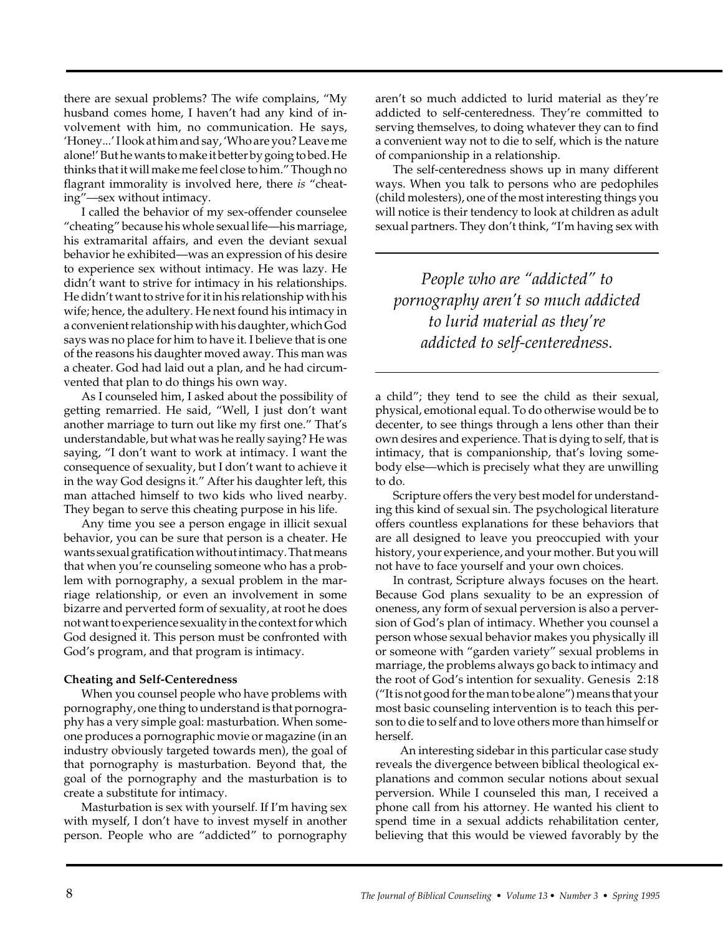there are sexual problems? The wife complains, "My husband comes home, I haven't had any kind of involvement with him, no communication. He says, 'Honey...' I look at him and say, 'Who are you? Leave me alone!' But he wants to make it better by going to bed. He thinks that it will make me feel close to him." Though no flagrant immorality is involved here, there *is* "cheating"—sex without intimacy.

I called the behavior of my sex-offender counselee "cheating" because his whole sexual life—his marriage, his extramarital affairs, and even the deviant sexual behavior he exhibited—was an expression of his desire to experience sex without intimacy. He was lazy. He didn't want to strive for intimacy in his relationships. He didn't want to strive for it in his relationship with his wife; hence, the adultery. He next found his intimacy in a convenient relationship with his daughter, which God says was no place for him to have it. I believe that is one of the reasons his daughter moved away. This man was a cheater. God had laid out a plan, and he had circumvented that plan to do things his own way.

As I counseled him, I asked about the possibility of getting remarried. He said, "Well, I just don't want another marriage to turn out like my first one." That's understandable, but what was he really saying? He was saying, "I don't want to work at intimacy. I want the consequence of sexuality, but I don't want to achieve it in the way God designs it." After his daughter left, this man attached himself to two kids who lived nearby. They began to serve this cheating purpose in his life.

Any time you see a person engage in illicit sexual behavior, you can be sure that person is a cheater. He wants sexual gratification without intimacy. That means that when you're counseling someone who has a problem with pornography, a sexual problem in the marriage relationship, or even an involvement in some bizarre and perverted form of sexuality, at root he does not want to experience sexuality in the context for which God designed it. This person must be confronted with God's program, and that program is intimacy.

# **Cheating and Self-Centeredness**

When you counsel people who have problems with pornography, one thing to understand is that pornography has a very simple goal: masturbation. When someone produces a pornographic movie or magazine (in an industry obviously targeted towards men), the goal of that pornography is masturbation. Beyond that, the goal of the pornography and the masturbation is to create a substitute for intimacy.

Masturbation is sex with yourself. If I'm having sex with myself, I don't have to invest myself in another person. People who are "addicted" to pornography aren't so much addicted to lurid material as they're addicted to self-centeredness. They're committed to serving themselves, to doing whatever they can to find a convenient way not to die to self, which is the nature of companionship in a relationship.

The self-centeredness shows up in many different ways. When you talk to persons who are pedophiles (child molesters), one of the most interesting things you will notice is their tendency to look at children as adult sexual partners. They don't think, "I'm having sex with

*People who are "addicted" to pornography aren't so much addicted to lurid material as they're addicted to self-centeredness.*

a child"; they tend to see the child as their sexual, physical, emotional equal. To do otherwise would be to decenter, to see things through a lens other than their own desires and experience. That is dying to self, that is intimacy, that is companionship, that's loving somebody else—which is precisely what they are unwilling to do.

Scripture offers the very best model for understanding this kind of sexual sin. The psychological literature offers countless explanations for these behaviors that are all designed to leave you preoccupied with your history, your experience, and your mother. But you will not have to face yourself and your own choices.

In contrast, Scripture always focuses on the heart. Because God plans sexuality to be an expression of oneness, any form of sexual perversion is also a perversion of God's plan of intimacy. Whether you counsel a person whose sexual behavior makes you physically ill or someone with "garden variety" sexual problems in marriage, the problems always go back to intimacy and the root of God's intention for sexuality. Genesis 2:18 ("It is not good for the man to be alone") means that your most basic counseling intervention is to teach this person to die to self and to love others more than himself or herself.

 An interesting sidebar in this particular case study reveals the divergence between biblical theological explanations and common secular notions about sexual perversion. While I counseled this man, I received a phone call from his attorney. He wanted his client to spend time in a sexual addicts rehabilitation center, believing that this would be viewed favorably by the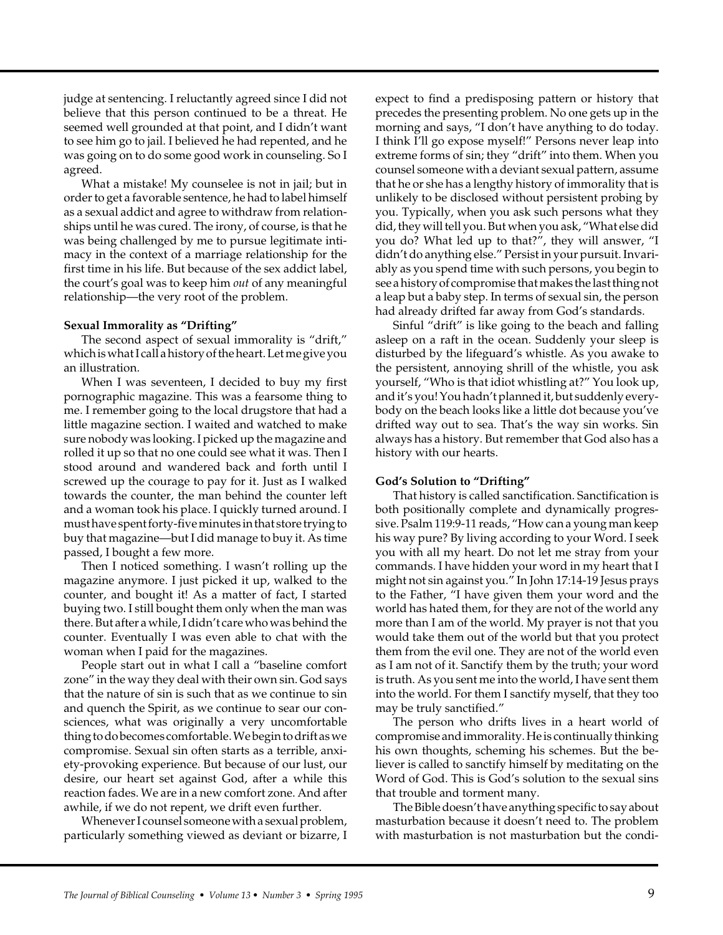judge at sentencing. I reluctantly agreed since I did not believe that this person continued to be a threat. He seemed well grounded at that point, and I didn't want to see him go to jail. I believed he had repented, and he was going on to do some good work in counseling. So I agreed.

What a mistake! My counselee is not in jail; but in order to get a favorable sentence, he had to label himself as a sexual addict and agree to withdraw from relationships until he was cured. The irony, of course, is that he was being challenged by me to pursue legitimate intimacy in the context of a marriage relationship for the first time in his life. But because of the sex addict label, the court's goal was to keep him *out* of any meaningful relationship—the very root of the problem.

#### **Sexual Immorality as "Drifting"**

The second aspect of sexual immorality is "drift," which is what I call a history of the heart. Let me give you an illustration.

When I was seventeen, I decided to buy my first pornographic magazine. This was a fearsome thing to me. I remember going to the local drugstore that had a little magazine section. I waited and watched to make sure nobody was looking. I picked up the magazine and rolled it up so that no one could see what it was. Then I stood around and wandered back and forth until I screwed up the courage to pay for it. Just as I walked towards the counter, the man behind the counter left and a woman took his place. I quickly turned around. I must have spent forty-five minutes in that store trying to buy that magazine—but I did manage to buy it. As time passed, I bought a few more.

Then I noticed something. I wasn't rolling up the magazine anymore. I just picked it up, walked to the counter, and bought it! As a matter of fact, I started buying two. I still bought them only when the man was there. But after a while, I didn't care who was behind the counter. Eventually I was even able to chat with the woman when I paid for the magazines.

People start out in what I call a "baseline comfort zone" in the way they deal with their own sin. God says that the nature of sin is such that as we continue to sin and quench the Spirit, as we continue to sear our consciences, what was originally a very uncomfortable thing to do becomes comfortable. We begin to drift as we compromise. Sexual sin often starts as a terrible, anxiety-provoking experience. But because of our lust, our desire, our heart set against God, after a while this reaction fades. We are in a new comfort zone. And after awhile, if we do not repent, we drift even further.

Whenever I counsel someone with a sexual problem, particularly something viewed as deviant or bizarre, I expect to find a predisposing pattern or history that precedes the presenting problem. No one gets up in the morning and says, "I don't have anything to do today. I think I'll go expose myself!" Persons never leap into extreme forms of sin; they "drift" into them. When you counsel someone with a deviant sexual pattern, assume that he or she has a lengthy history of immorality that is unlikely to be disclosed without persistent probing by you. Typically, when you ask such persons what they did, they will tell you. But when you ask, "What else did you do? What led up to that?", they will answer, "I didn't do anything else." Persist in your pursuit. Invariably as you spend time with such persons, you begin to see a history of compromise that makes the last thing not a leap but a baby step. In terms of sexual sin, the person had already drifted far away from God's standards.

Sinful "drift" is like going to the beach and falling asleep on a raft in the ocean. Suddenly your sleep is disturbed by the lifeguard's whistle. As you awake to the persistent, annoying shrill of the whistle, you ask yourself, "Who is that idiot whistling at?" You look up, and it's you! You hadn't planned it, but suddenly everybody on the beach looks like a little dot because you've drifted way out to sea. That's the way sin works. Sin always has a history. But remember that God also has a history with our hearts.

# **God's Solution to "Drifting"**

That history is called sanctification. Sanctification is both positionally complete and dynamically progressive. Psalm 119:9-11 reads, "How can a young man keep his way pure? By living according to your Word. I seek you with all my heart. Do not let me stray from your commands. I have hidden your word in my heart that I might not sin against you." In John 17:14-19 Jesus prays to the Father, "I have given them your word and the world has hated them, for they are not of the world any more than I am of the world. My prayer is not that you would take them out of the world but that you protect them from the evil one. They are not of the world even as I am not of it. Sanctify them by the truth; your word is truth. As you sent me into the world, I have sent them into the world. For them I sanctify myself, that they too may be truly sanctified."

The person who drifts lives in a heart world of compromise and immorality. He is continually thinking his own thoughts, scheming his schemes. But the believer is called to sanctify himself by meditating on the Word of God. This is God's solution to the sexual sins that trouble and torment many.

The Bible doesn't have anything specific to say about masturbation because it doesn't need to. The problem with masturbation is not masturbation but the condi-